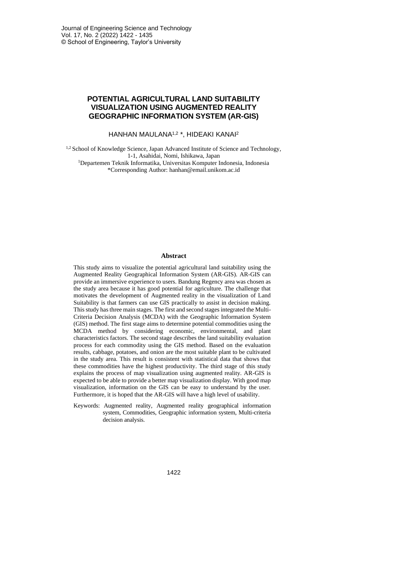# **POTENTIAL AGRICULTURAL LAND SUITABILITY VISUALIZATION USING AUGMENTED REALITY GEOGRAPHIC INFORMATION SYSTEM (AR-GIS)**

#### HANHAN MAULANA1,2 \*, HIDEAKI KANAI<sup>2</sup>

<sup>1,2</sup> School of Knowledge Science, Japan Advanced Institute of Science and Technology, 1-1, Asahidai, Nomi, Ishikawa, Japan <sup>1</sup>Departemen Teknik Informatika, Universitas Komputer Indonesia, Indonesia

\*Corresponding Author: hanhan@email.unikom.ac.id

#### **Abstract**

This study aims to visualize the potential agricultural land suitability using the Augmented Reality Geographical Information System (AR-GIS). AR-GIS can provide an immersive experience to users. Bandung Regency area was chosen as the study area because it has good potential for agriculture. The challenge that motivates the development of Augmented reality in the visualization of Land Suitability is that farmers can use GIS practically to assist in decision making. This study has three main stages. The first and second stages integrated the Multi-Criteria Decision Analysis (MCDA) with the Geographic Information System (GIS) method. The first stage aims to determine potential commodities using the MCDA method by considering economic, environmental, and plant characteristics factors. The second stage describes the land suitability evaluation process for each commodity using the GIS method. Based on the evaluation results, cabbage, potatoes, and onion are the most suitable plant to be cultivated in the study area. This result is consistent with statistical data that shows that these commodities have the highest productivity. The third stage of this study explains the process of map visualization using augmented reality. AR-GIS is expected to be able to provide a better map visualization display. With good map visualization, information on the GIS can be easy to understand by the user. Furthermore, it is hoped that the AR-GIS will have a high level of usability.

Keywords: Augmented reality, Augmented reality geographical information system, Commodities, Geographic information system, Multi-criteria decision analysis.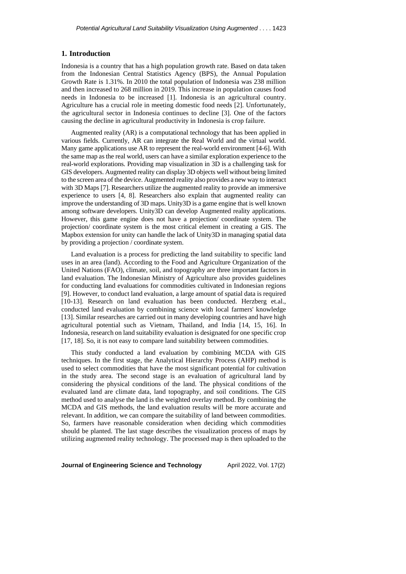### **1. Introduction**

Indonesia is a country that has a high population growth rate. Based on data taken from the Indonesian Central Statistics Agency (BPS), the Annual Population Growth Rate is 1.31%. In 2010 the total population of Indonesia was 238 million and then increased to 268 million in 2019. This increase in population causes food needs in Indonesia to be increased [1]. Indonesia is an agricultural country. Agriculture has a crucial role in meeting domestic food needs [2]. Unfortunately, the agricultural sector in Indonesia continues to decline [3]. One of the factors causing the decline in agricultural productivity in Indonesia is crop failure.

Augmented reality (AR) is a computational technology that has been applied in various fields. Currently, AR can integrate the Real World and the virtual world. Many game applications use AR to represent the real-world environment [4-6]. With the same map as the real world, users can have a similar exploration experience to the real-world explorations. Providing map visualization in 3D is a challenging task for GIS developers. Augmented reality can display 3D objects well without being limited to the screen area of the device. Augmented reality also provides a new way to interact with 3D Maps [7]. Researchers utilize the augmented reality to provide an immersive experience to users [4, 8]. Researchers also explain that augmented reality can improve the understanding of 3D maps. Unity3D is a game engine that is well known among software developers. Unity3D can develop Augmented reality applications. However, this game engine does not have a projection/ coordinate system. The projection/ coordinate system is the most critical element in creating a GIS. The Mapbox extension for unity can handle the lack of Unity3D in managing spatial data by providing a projection / coordinate system.

Land evaluation is a process for predicting the land suitability to specific land uses in an area (land). According to the Food and Agriculture Organization of the United Nations (FAO), climate, soil, and topography are three important factors in land evaluation. The Indonesian Ministry of Agriculture also provides guidelines for conducting land evaluations for commodities cultivated in Indonesian regions [9]. However, to conduct land evaluation, a large amount of spatial data is required [10-13]. Research on land evaluation has been conducted. Herzberg et.al., conducted land evaluation by combining science with local farmers' knowledge [13]. Similar researches are carried out in many developing countries and have high agricultural potential such as Vietnam, Thailand, and India [14, 15, 16]. In Indonesia, research on land suitability evaluation is designated for one specific crop [17, 18]. So, it is not easy to compare land suitability between commodities.

This study conducted a land evaluation by combining MCDA with GIS techniques. In the first stage, the Analytical Hierarchy Process (AHP) method is used to select commodities that have the most significant potential for cultivation in the study area. The second stage is an evaluation of agricultural land by considering the physical conditions of the land. The physical conditions of the evaluated land are climate data, land topography, and soil conditions. The GIS method used to analyse the land is the weighted overlay method. By combining the MCDA and GIS methods, the land evaluation results will be more accurate and relevant. In addition, we can compare the suitability of land between commodities. So, farmers have reasonable consideration when deciding which commodities should be planted. The last stage describes the visualization process of maps by utilizing augmented reality technology. The processed map is then uploaded to the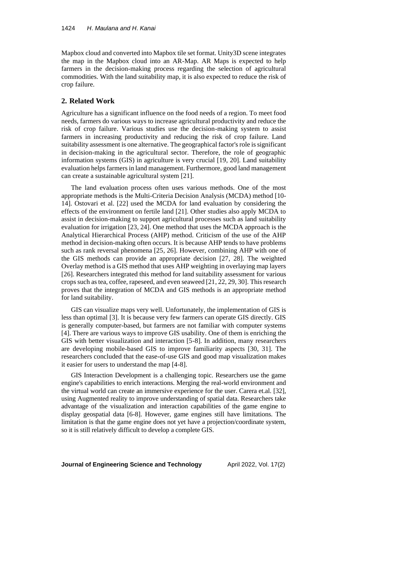Mapbox cloud and converted into Mapbox tile set format. Unity3D scene integrates the map in the Mapbox cloud into an AR-Map. AR Maps is expected to help farmers in the decision-making process regarding the selection of agricultural commodities. With the land suitability map, it is also expected to reduce the risk of crop failure.

### **2. Related Work**

Agriculture has a significant influence on the food needs of a region. To meet food needs, farmers do various ways to increase agricultural productivity and reduce the risk of crop failure. Various studies use the decision-making system to assist farmers in increasing productivity and reducing the risk of crop failure. Land suitability assessment is one alternative. The geographical factor's role is significant in decision-making in the agricultural sector. Therefore, the role of geographic information systems (GIS) in agriculture is very crucial [19, 20]. Land suitability evaluation helps farmers in land management. Furthermore, good land management can create a sustainable agricultural system [21].

The land evaluation process often uses various methods. One of the most appropriate methods is the Multi-Criteria Decision Analysis (MCDA) method [10- 14]. Ostovari et al. [22] used the MCDA for land evaluation by considering the effects of the environment on fertile land [21]. Other studies also apply MCDA to assist in decision-making to support agricultural processes such as land suitability evaluation for irrigation [23, 24]. One method that uses the MCDA approach is the Analytical Hierarchical Process (AHP) method. Criticism of the use of the AHP method in decision-making often occurs. It is because AHP tends to have problems such as rank reversal phenomena [25, 26]. However, combining AHP with one of the GIS methods can provide an appropriate decision [27, 28]. The weighted Overlay method is a GIS method that uses AHP weighting in overlaying map layers [26]. Researchers integrated this method for land suitability assessment for various crops such as tea, coffee, rapeseed, and even seaweed [21, 22, 29, 30]. This research proves that the integration of MCDA and GIS methods is an appropriate method for land suitability.

GIS can visualize maps very well. Unfortunately, the implementation of GIS is less than optimal [3]. It is because very few farmers can operate GIS directly. GIS is generally computer-based, but farmers are not familiar with computer systems [4]. There are various ways to improve GIS usability. One of them is enriching the GIS with better visualization and interaction [5-8]. In addition, many researchers are developing mobile-based GIS to improve familiarity aspects [30, 31]. The researchers concluded that the ease-of-use GIS and good map visualization makes it easier for users to understand the map [4-8].

GIS Interaction Development is a challenging topic. Researchers use the game engine's capabilities to enrich interactions. Merging the real-world environment and the virtual world can create an immersive experience for the user. Carera et.al. [32], using Augmented reality to improve understanding of spatial data. Researchers take advantage of the visualization and interaction capabilities of the game engine to display geospatial data [6-8]. However, game engines still have limitations. The limitation is that the game engine does not yet have a projection/coordinate system, so it is still relatively difficult to develop a complete GIS.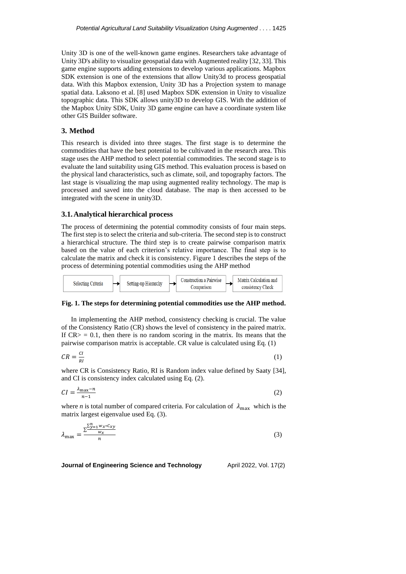Unity 3D is one of the well-known game engines. Researchers take advantage of Unity 3D's ability to visualize geospatial data with Augmented reality [32, 33]. This game engine supports adding extensions to develop various applications. Mapbox SDK extension is one of the extensions that allow Unity3d to process geospatial data. With this Mapbox extension, Unity 3D has a Projection system to manage spatial data. Laksono et al. [8] used Mapbox SDK extension in Unity to visualize topographic data. This SDK allows unity3D to develop GIS. With the addition of the Mapbox Unity SDK, Unity 3D game engine can have a coordinate system like other GIS Builder software.

# **3. Method**

This research is divided into three stages. The first stage is to determine the commodities that have the best potential to be cultivated in the research area. This stage uses the AHP method to select potential commodities. The second stage is to evaluate the land suitability using GIS method. This evaluation process is based on the physical land characteristics, such as climate, soil, and topography factors. The last stage is visualizing the map using augmented reality technology. The map is processed and saved into the cloud database. The map is then accessed to be integrated with the scene in unity3D.

### **3.1.Analytical hierarchical process**

 $\mathbb{R}^n$ 

The process of determining the potential commodity consists of four main steps. The first step is to select the criteria and sub-criteria. The second step is to construct a hierarchical structure. The third step is to create pairwise comparison matrix based on the value of each criterion's relative importance. The final step is to calculate the matrix and check it is consistency. Figure 1 describes the steps of the process of determining potential commodities using the AHP method



#### **Fig. 1. The steps for determining potential commodities use the AHP method.**

In implementing the AHP method, consistency checking is crucial. The value of the Consistency Ratio (CR) shows the level of consistency in the paired matrix. If  $CR$  = 0.1, then there is no random scoring in the matrix. Its means that the pairwise comparison matrix is acceptable. CR value is calculated using Eq. (1)

$$
CR = \frac{CI}{RI} \tag{1}
$$

where CR is Consistency Ratio, RI is Random index value defined by Saaty [34], and CI is consistency index calculated using Eq. (2).

$$
CI = \frac{\lambda_{\text{max}} - n}{n - 1} \tag{2}
$$

where *n* is total number of compared criteria. For calculation of  $\lambda_{\text{max}}$  which is the matrix largest eigenvalue used Eq. (3).

$$
\lambda_{\text{max}} = \frac{\sum_{y=1}^{2n} w_x * c_{xy}}{n} \tag{3}
$$

**Journal of Engineering Science and Technology** April 2022, Vol. 17(2)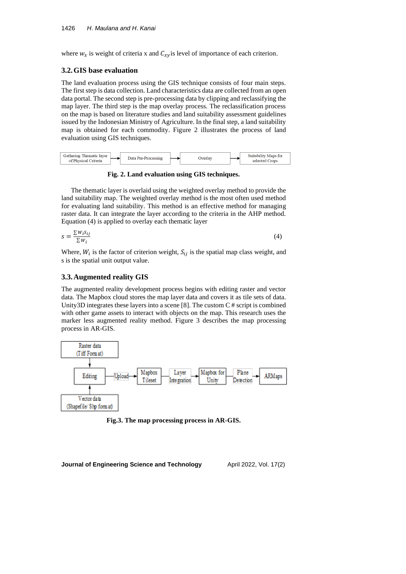where  $w_x$  is weight of criteria x and  $C_{xy}$  is level of importance of each criterion.

### **3.2.GIS base evaluation**

The land evaluation process using the GIS technique consists of four main steps. The first step is data collection. Land characteristics data are collected from an open data portal. The second step is pre-processing data by clipping and reclassifying the map layer. The third step is the map overlay process. The reclassification process on the map is based on literature studies and land suitability assessment guidelines issued by the Indonesian Ministry of Agriculture. In the final step, a land suitability map is obtained for each commodity. Figure 2 illustrates the process of land evaluation using GIS techniques.



### **Fig. 2. Land evaluation using GIS techniques.**

The thematic layer is overlaid using the weighted overlay method to provide the land suitability map. The weighted overlay method is the most often used method for evaluating land suitability. This method is an effective method for managing raster data. It can integrate the layer according to the criteria in the AHP method. Equation (4) is applied to overlay each thematic layer

$$
s = \frac{\sum W_i s_{ij}}{\sum W_i} \tag{4}
$$

Where,  $W_i$  is the factor of criterion weight,  $S_{ij}$  is the spatial map class weight, and s is the spatial unit output value.

### **3.3.Augmented reality GIS**

The augmented reality development process begins with editing raster and vector data. The Mapbox cloud stores the map layer data and covers it as tile sets of data. Unity3D integrates these layers into a scene [8]. The custom C # script is combined with other game assets to interact with objects on the map. This research uses the marker less augmented reality method. Figure 3 describes the map processing process in AR-GIS.



**Fig.3. The map processing process in AR-GIS.**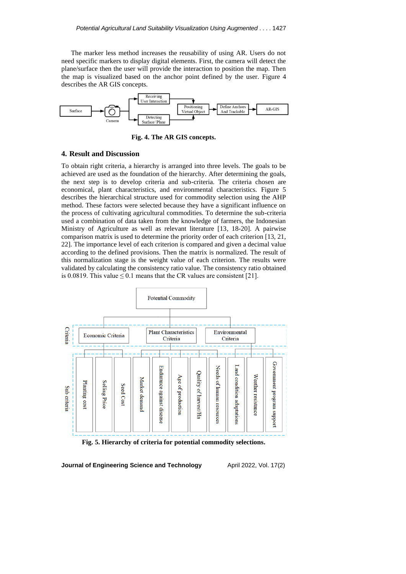The marker less method increases the reusability of using AR. Users do not need specific markers to display digital elements. First, the camera will detect the plane/surface then the user will provide the interaction to position the map. Then the map is visualized based on the anchor point defined by the user. Figure 4 describes the AR GIS concepts.



**Fig. 4. The AR GIS concepts.**

#### **4. Result and Discussion**

To obtain right criteria, a hierarchy is arranged into three levels. The goals to be achieved are used as the foundation of the hierarchy. After determining the goals, the next step is to develop criteria and sub-criteria. The criteria chosen are economical, plant characteristics, and environmental characteristics. Figure 5 describes the hierarchical structure used for commodity selection using the AHP method. These factors were selected because they have a significant influence on the process of cultivating agricultural commodities. To determine the sub-criteria used a combination of data taken from the knowledge of farmers, the Indonesian Ministry of Agriculture as well as relevant literature [13, 18-20]. A pairwise comparison matrix is used to determine the priority order of each criterion [13, 21, 22]. The importance level of each criterion is compared and given a decimal value according to the defined provisions. Then the matrix is normalized. The result of this normalization stage is the weight value of each criterion. The results were validated by calculating the consistency ratio value. The consistency ratio obtained is 0.0819. This value  $\leq$  0.1 means that the CR values are consistent [21].



**Fig. 5. Hierarchy of criteria for potential commodity selections.**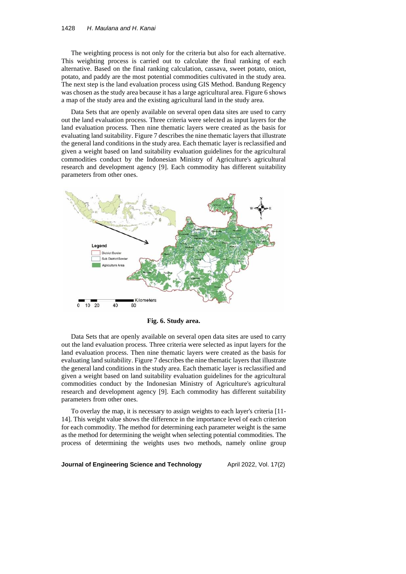The weighting process is not only for the criteria but also for each alternative. This weighting process is carried out to calculate the final ranking of each alternative. Based on the final ranking calculation, cassava, sweet potato, onion, potato, and paddy are the most potential commodities cultivated in the study area. The next step is the land evaluation process using GIS Method. Bandung Regency was chosen as the study area because it has a large agricultural area. Figure 6 shows a map of the study area and the existing agricultural land in the study area.

Data Sets that are openly available on several open data sites are used to carry out the land evaluation process. Three criteria were selected as input layers for the land evaluation process. Then nine thematic layers were created as the basis for evaluating land suitability. Figure 7 describes the nine thematic layers that illustrate the general land conditions in the study area. Each thematic layer is reclassified and given a weight based on land suitability evaluation guidelines for the agricultural commodities conduct by the Indonesian Ministry of Agriculture's agricultural research and development agency [9]. Each commodity has different suitability parameters from other ones.



**Fig. 6. Study area.**

Data Sets that are openly available on several open data sites are used to carry out the land evaluation process. Three criteria were selected as input layers for the land evaluation process. Then nine thematic layers were created as the basis for evaluating land suitability. Figure 7 describes the nine thematic layers that illustrate the general land conditions in the study area. Each thematic layer is reclassified and given a weight based on land suitability evaluation guidelines for the agricultural commodities conduct by the Indonesian Ministry of Agriculture's agricultural research and development agency [9]. Each commodity has different suitability parameters from other ones.

To overlay the map, it is necessary to assign weights to each layer's criteria [11- 14]. This weight value shows the difference in the importance level of each criterion for each commodity. The method for determining each parameter weight is the same as the method for determining the weight when selecting potential commodities. The process of determining the weights uses two methods, namely online group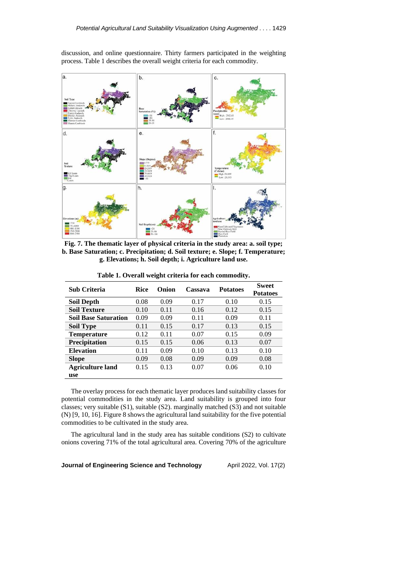

discussion, and online questionnaire. Thirty farmers participated in the weighting process. Table 1 describes the overall weight criteria for each commodity.

**Fig. 7. The thematic layer of physical criteria in the study area: a. soil type; b. Base Saturation; c. Precipitation; d. Soil texture; e. Slope; f. Temperature; g. Elevations; h. Soil depth; i. Agriculture land use.**

| <b>Sub Criteria</b>         | <b>Rice</b> | Onion | Cassava | <b>Potatoes</b> | <b>Sweet</b><br><b>Potatoes</b> |
|-----------------------------|-------------|-------|---------|-----------------|---------------------------------|
| <b>Soil Depth</b>           | 0.08        | 0.09  | 0.17    | 0.10            | 0.15                            |
| <b>Soil Texture</b>         | 0.10        | 0.11  | 0.16    | 0.12            | 0.15                            |
| <b>Soil Base Saturation</b> | 0.09        | 0.09  | 0.11    | 0.09            | 0.11                            |
| <b>Soil Type</b>            | 0.11        | 0.15  | 0.17    | 0.13            | 0.15                            |
| <b>Temperature</b>          | 0.12        | 0.11  | 0.07    | 0.15            | 0.09                            |
| Precipitation               | 0.15        | 0.15  | 0.06    | 0.13            | 0.07                            |
| <b>Elevation</b>            | 0.11        | 0.09  | 0.10    | 0.13            | 0.10                            |
| <b>Slope</b>                | 0.09        | 0.08  | 0.09    | 0.09            | 0.08                            |
| <b>Agriculture land</b>     | 0.15        | 0.13  | 0.07    | 0.06            | 0.10                            |
| use                         |             |       |         |                 |                                 |

**Table 1. Overall weight criteria for each commodity.**

The overlay process for each thematic layer produces land suitability classes for potential commodities in the study area. Land suitability is grouped into four classes; very suitable (S1), suitable (S2). marginally matched (S3) and not suitable (N) [9, 10, 16]. Figure 8 shows the agricultural land suitability for the five potential commodities to be cultivated in the study area.

The agricultural land in the study area has suitable conditions (S2) to cultivate onions covering 71% of the total agricultural area. Covering 70% of the agriculture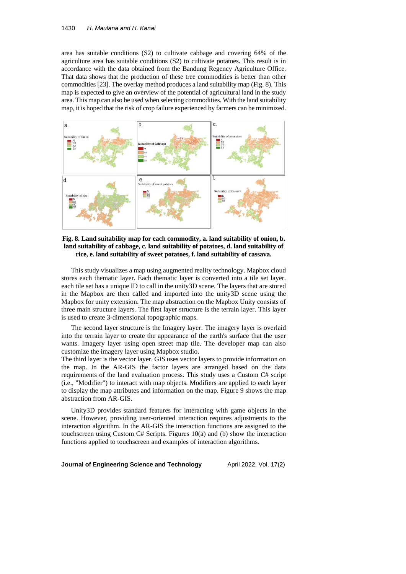area has suitable conditions (S2) to cultivate cabbage and covering 64% of the agriculture area has suitable conditions (S2) to cultivate potatoes. This result is in accordance with the data obtained from the Bandung Regency Agriculture Office. That data shows that the production of these tree commodities is better than other commodities [23]. The overlay method produces a land suitability map (Fig. 8). This map is expected to give an overview of the potential of agricultural land in the study area. This map can also be used when selecting commodities. With the land suitability map, it is hoped that the risk of crop failure experienced by farmers can be minimized.



**Fig. 8. Land suitability map for each commodity, a. land suitability of onion, b. land suitability of cabbage, c. land suitability of potatoes, d. land suitability of rice, e. land suitability of sweet potatoes, f. land suitability of cassava.**

This study visualizes a map using augmented reality technology. Mapbox cloud stores each thematic layer. Each thematic layer is converted into a tile set layer. each tile set has a unique ID to call in the unity3D scene. The layers that are stored in the Mapbox are then called and imported into the unity3D scene using the Mapbox for unity extension. The map abstraction on the Mapbox Unity consists of three main structure layers. The first layer structure is the terrain layer. This layer is used to create 3-dimensional topographic maps.

The second layer structure is the Imagery layer. The imagery layer is overlaid into the terrain layer to create the appearance of the earth's surface that the user wants. Imagery layer using open street map tile. The developer map can also customize the imagery layer using Mapbox studio.

The third layer is the vector layer. GIS uses vector layers to provide information on the map. In the AR-GIS the factor layers are arranged based on the data requirements of the land evaluation process. This study uses a Custom C# script (i.e., "Modifier") to interact with map objects. Modifiers are applied to each layer to display the map attributes and information on the map. Figure 9 shows the map abstraction from AR-GIS.

Unity3D provides standard features for interacting with game objects in the scene. However, providing user-oriented interaction requires adjustments to the interaction algorithm. In the AR-GIS the interaction functions are assigned to the touchscreen using Custom C# Scripts. Figures  $10(a)$  and (b) show the interaction functions applied to touchscreen and examples of interaction algorithms.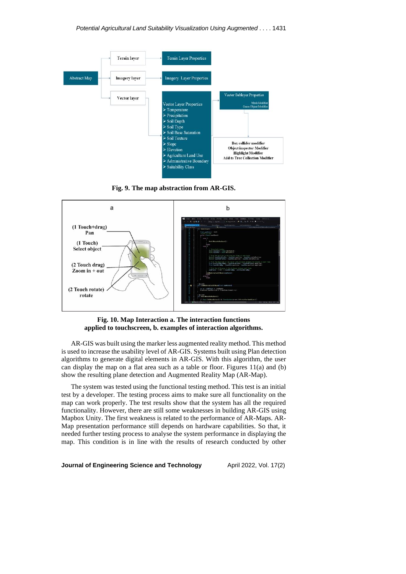

**Fig. 9. The map abstraction from AR-GIS.**



**Fig. 10. Map Interaction a. The interaction functions applied to touchscreen, b. examples of interaction algorithms.**

AR-GIS was built using the marker less augmented reality method. This method is used to increase the usability level of AR-GIS. Systems built using Plan detection algorithms to generate digital elements in AR-GIS. With this algorithm, the user can display the map on a flat area such as a table or floor. Figures  $11(a)$  and (b) show the resulting plane detection and Augmented Reality Map (AR-Map).

The system was tested using the functional testing method. This test is an initial test by a developer. The testing process aims to make sure all functionality on the map can work properly. The test results show that the system has all the required functionality. However, there are still some weaknesses in building AR-GIS using Mapbox Unity. The first weakness is related to the performance of AR-Maps. AR-Map presentation performance still depends on hardware capabilities. So that, it needed further testing process to analyse the system performance in displaying the map. This condition is in line with the results of research conducted by other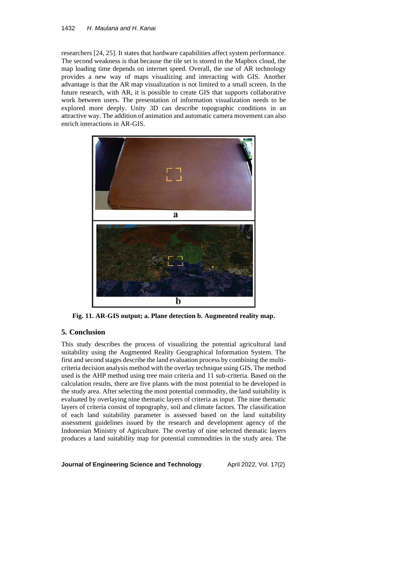### 1432 *H*. *Maulana and H*. *Kanai*

researchers [24, 25]. It states that hardware capabilities affect system performance. The second weakness is that because the tile set is stored in the Mapbox cloud, the map loading time depends on internet speed. Overall, the use of AR technology provides a new way of maps visualizing and interacting with GIS. Another advantage is that the AR map visualization is not limited to a small screen. In the future research, with AR, it is possible to create GIS that supports collaborative work between users. The presentation of information visualization needs to be explored more deeply. Unity 3D can describe topographic conditions in an attractive way. The addition of animation and automatic camera movement can also enrich interactions in AR-GIS.



**Fig. 11. AR-GIS output; a. Plane detection b. Augmented reality map.**

# **5. Conclusion**

This study describes the process of visualizing the potential agricultural land suitability using the Augmented Reality Geographical Information System. The first and second stages describe the land evaluation process by combining the multicriteria decision analysis method with the overlay technique using GIS. The method used is the AHP method using tree main criteria and 11 sub-criteria. Based on the calculation results, there are five plants with the most potential to be developed in the study area. After selecting the most potential commodity, the land suitability is evaluated by overlaying nine thematic layers of criteria as input. The nine thematic layers of criteria consist of topography, soil and climate factors. The classification of each land suitability parameter is assessed based on the land suitability assessment guidelines issued by the research and development agency of the Indonesian Ministry of Agriculture. The overlay of nine selected thematic layers produces a land suitability map for potential commodities in the study area. The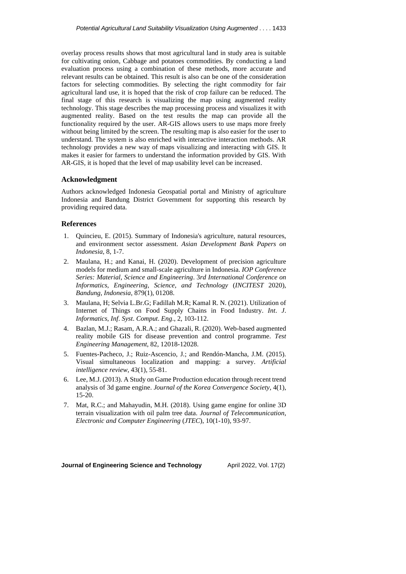overlay process results shows that most agricultural land in study area is suitable for cultivating onion, Cabbage and potatoes commodities. By conducting a land evaluation process using a combination of these methods, more accurate and relevant results can be obtained. This result is also can be one of the consideration factors for selecting commodities. By selecting the right commodity for fair agricultural land use, it is hoped that the risk of crop failure can be reduced. The final stage of this research is visualizing the map using augmented reality technology. This stage describes the map processing process and visualizes it with augmented reality. Based on the test results the map can provide all the functionality required by the user. AR-GIS allows users to use maps more freely without being limited by the screen. The resulting map is also easier for the user to understand. The system is also enriched with interactive interaction methods. AR technology provides a new way of maps visualizing and interacting with GIS. It makes it easier for farmers to understand the information provided by GIS. With AR-GIS, it is hoped that the level of map usability level can be increased.

### **Acknowledgment**

Authors acknowledged Indonesia Geospatial portal and Ministry of agriculture Indonesia and Bandung District Government for supporting this research by providing required data.

## **References**

- 1. Quincieu, E. (2015). Summary of Indonesia's agriculture, natural resources, and environment sector assessment. *Asian Development Bank Papers on Indonesia*, 8, 1-7.
- 2. Maulana, H.; and Kanai, H. (2020). Development of precision agriculture models for medium and small-scale agriculture in Indonesia. *IOP Conference Series: Material*, *Science and Engineering*. 3*rd International Conference on Informatics*, *Engineering*, *Science*, *and Technology* (*INCITEST* 2020), *Bandung*, *Indonesia*, 879(1), 01208.
- 3. Maulana, H; Selvia L.Br.G; Fadillah M.R; Kamal R. N. (2021). Utilization of Internet of Things on Food Supply Chains in Food Industry. *Int*. *J*. *Informatics*, *Inf*. *Syst*. *Comput*. *Eng*., 2, 103-112.
- 4. Bazlan, M.J.; Rasam, A.R.A.; and Ghazali, R. (2020). Web-based augmented reality mobile GIS for disease prevention and control programme. *Test Engineering Management*, 82, 12018-12028.
- 5. Fuentes-Pacheco, J.; Ruiz-Ascencio, J.; and Rendón-Mancha, J.M. (2015). Visual simultaneous localization and mapping: a survey. *Artificial intelligence review*, 43(1), 55-81.
- 6. Lee, M.J. (2013). A Study on Game Production education through recent trend analysis of 3d game engine. *Journal of the Korea Convergence Society*, 4(1), 15-20.
- 7. Mat, R.C.; and Mahayudin, M.H. (2018). Using game engine for online 3D terrain visualization with oil palm tree data. *Journal of Telecommunication*, *Electronic and Computer Engineering* (*JTEC*), 10(1-10), 93-97.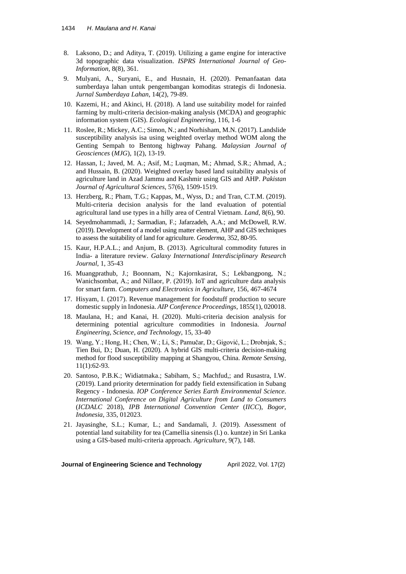- 8. Laksono, D.; and Aditya, T. (2019). Utilizing a game engine for interactive 3d topographic data visualization. *ISPRS International Journal of Geo-Information*, 8(8), 361.
- 9. Mulyani, A., Suryani, E., and Husnain, H. (2020). Pemanfaatan data sumberdaya lahan untuk pengembangan komoditas strategis di Indonesia. *Jurnal Sumberdaya Lahan*, 14(2), 79-89.
- 10. Kazemi, H.; and Akinci, H. (2018). A land use suitability model for rainfed farming by multi-criteria decision-making analysis (MCDA) and geographic information system (GIS). *Ecological Engineering*, 116, 1-6
- 11. Roslee, R.; Mickey, A.C.; Simon, N.; and Norhisham, M.N. (2017). Landslide susceptibility analysis isa using weighted overlay method WOM along the Genting Sempah to Bentong highway Pahang. *Malaysian Journal of Geosciences* (*MJG*), 1(2), 13-19.
- 12. Hassan, I.; Javed, M. A.; Asif, M.; Luqman, M.; Ahmad, S.R.; Ahmad, A.; and Hussain, B. (2020). Weighted overlay based land suitability analysis of agriculture land in Azad Jammu and Kashmir using GIS and AHP. *Pakistan Journal of Agricultural Sciences*, 57(6), 1509-1519.
- 13. Herzberg, R.; Pham, T.G.; Kappas, M., Wyss, D.; and Tran, C.T.M. (2019). Multi-criteria decision analysis for the land evaluation of potential agricultural land use types in a hilly area of Central Vietnam. *Land*, 8(6), 90.
- 14. Seyedmohammadi, J.; Sarmadian, F.; Jafarzadeh, A.A.; and McDowell, R.W. (2019). Development of a model using matter element, AHP and GIS techniques to assess the suitability of land for agriculture. *Geoderma*, 352, 80-95.
- 15. Kaur, H.P.A.L.; and Anjum, B. (2013). Agricultural commodity futures in India- a literature review. *Galaxy International Interdisciplinary Research Journal*, 1, 35-43
- 16. Muangprathub, J.; Boonnam, N.; Kajornkasirat, S.; Lekbangpong, N.; Wanichsombat, A.; and Nillaor, P. (2019). IoT and agriculture data analysis for smart farm. *Computers and Electronics in Agriculture*, 156, 467-4674
- 17. Hisyam, I. (2017). Revenue management for foodstuff production to secure domestic supply in Indonesia. *AIP Conference Proceedings*, 1855(1), 020018.
- 18. Maulana, H.; and Kanai, H. (2020). Multi-criteria decision analysis for determining potential agriculture commodities in Indonesia. *Journal Engineering*, *Science*, *and Technology*, 15, 33-40
- 19. Wang, Y.; Hong, H.; Chen, W.; Li, S.; Pamučar, D.; Gigović, L.; Drobnjak, S.; Tien Bui, D.; Duan, H. (2020). A hybrid GIS multi-criteria decision-making method for flood susceptibility mapping at Shangyou, China. *Remote Sensing*, 11(1):62-93.
- 20. Santoso, P.B.K.; Widiatmaka.; Sabiham, S.; Machfud,; and Rusastra, I.W. (2019). Land priority determination for paddy field extensification in Subang Regency - Indonesia. *IOP Conference Series Earth Environmental Science*. *International Conference on Digital Agriculture from Land to Consumers* (*ICDALC* 2018), *IPB International Convention Center* (*IICC*), *Bogor*, *Indonesia*, 335, 012023.
- 21. Jayasinghe, S.L.; Kumar, L.; and Sandamali, J. (2019). Assessment of potential land suitability for tea (Camellia sinensis (l.) o. kuntze) in Sri Lanka using a GIS-based multi-criteria approach. *Agriculture*, 9(7), 148.